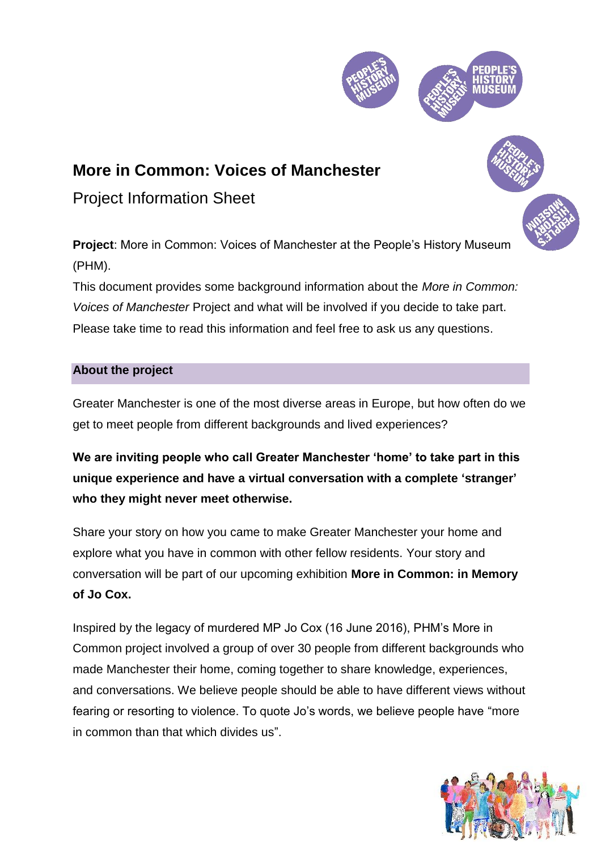

# **More in Common: Voices of Manchester**

Project Information Sheet

**Project**: More in Common: Voices of Manchester at the People's History Museum (PHM).

This document provides some background information about the *More in Common: Voices of Manchester* Project and what will be involved if you decide to take part. Please take time to read this information and feel free to ask us any questions.

# **About the project**

Greater Manchester is one of the most diverse areas in Europe, but how often do we get to meet people from different backgrounds and lived experiences?

**We are inviting people who call Greater Manchester 'home' to take part in this unique experience and have a virtual conversation with a complete 'stranger' who they might never meet otherwise.**

Share your story on how you came to make Greater Manchester your home and explore what you have in common with other fellow residents. Your story and conversation will be part of our upcoming exhibition **More in Common: in Memory of Jo Cox.** 

Inspired by the legacy of murdered MP Jo Cox (16 June 2016), PHM's More in Common project involved a group of over 30 people from different backgrounds who made Manchester their home, coming together to share knowledge, experiences, and conversations. We believe people should be able to have different views without fearing or resorting to violence. To quote Jo's words, we believe people have "more in common than that which divides us".

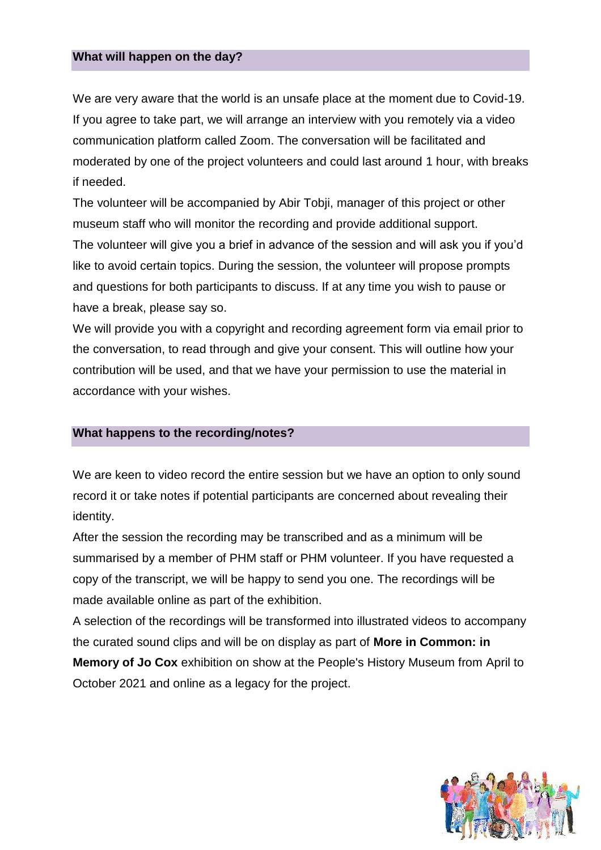#### **What will happen on the day?**

We are very aware that the world is an unsafe place at the moment due to Covid-19. If you agree to take part, we will arrange an interview with you remotely via a video communication platform called Zoom. The conversation will be facilitated and moderated by one of the project volunteers and could last around 1 hour, with breaks if needed.

The volunteer will be accompanied by Abir Tobji, manager of this project or other museum staff who will monitor the recording and provide additional support. The volunteer will give you a brief in advance of the session and will ask you if you'd like to avoid certain topics. During the session, the volunteer will propose prompts and questions for both participants to discuss. If at any time you wish to pause or have a break, please say so.

We will provide you with a copyright and recording agreement form via email prior to the conversation, to read through and give your consent. This will outline how your contribution will be used, and that we have your permission to use the material in accordance with your wishes.

## **What happens to the recording/notes?**

We are keen to video record the entire session but we have an option to only sound record it or take notes if potential participants are concerned about revealing their identity.

After the session the recording may be transcribed and as a minimum will be summarised by a member of PHM staff or PHM volunteer. If you have requested a copy of the transcript, we will be happy to send you one. The recordings will be made available online as part of the exhibition.

A selection of the recordings will be transformed into illustrated videos to accompany the curated sound clips and will be on display as part of **More in Common: in Memory of Jo Cox** exhibition on show at the People's History Museum from April to October 2021 and online as a legacy for the project.

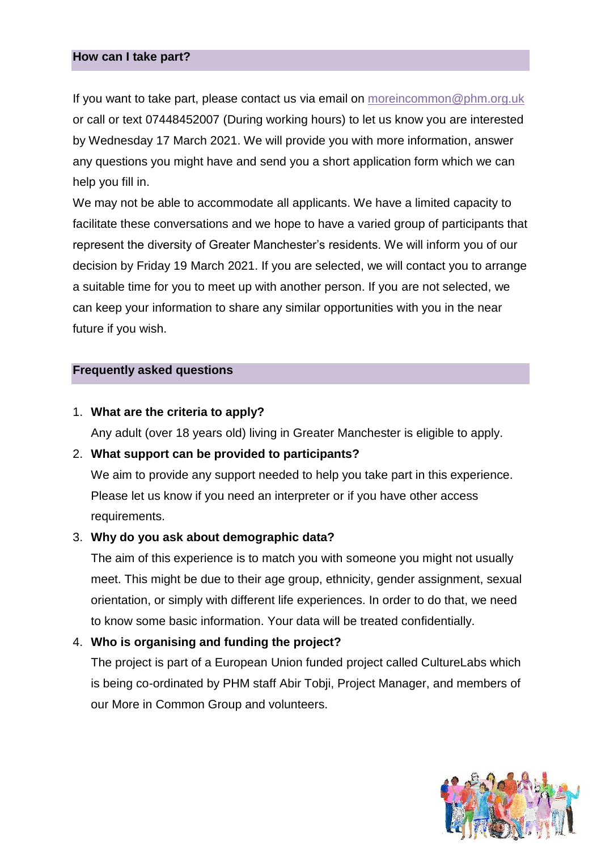#### **How can I take part?**

If you want to take part, please contact us via email on [moreincommon@phm.org.uk](mailto:moreincommon@phm.org.uk) or call or text 07448452007 (During working hours) to let us know you are interested by Wednesday 17 March 2021. We will provide you with more information, answer any questions you might have and send you a short application form which we can help you fill in.

We may not be able to accommodate all applicants. We have a limited capacity to facilitate these conversations and we hope to have a varied group of participants that represent the diversity of Greater Manchester's residents. We will inform you of our decision by Friday 19 March 2021. If you are selected, we will contact you to arrange a suitable time for you to meet up with another person. If you are not selected, we can keep your information to share any similar opportunities with you in the near future if you wish.

## **Frequently asked questions**

#### 1. **What are the criteria to apply?**

Any adult (over 18 years old) living in Greater Manchester is eligible to apply.

## 2. **What support can be provided to participants?**

We aim to provide any support needed to help you take part in this experience. Please let us know if you need an interpreter or if you have other access requirements.

#### 3. **Why do you ask about demographic data?**

The aim of this experience is to match you with someone you might not usually meet. This might be due to their age group, ethnicity, gender assignment, sexual orientation, or simply with different life experiences. In order to do that, we need to know some basic information. Your data will be treated confidentially.

## 4. **Who is organising and funding the project?**

The project is part of a European Union funded project called CultureLabs which is being co-ordinated by PHM staff Abir Tobji, Project Manager, and members of our More in Common Group and volunteers.